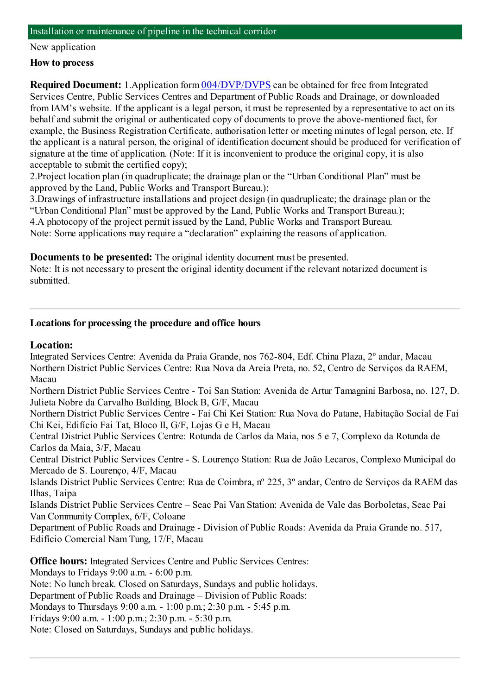#### New application

### **How to process**

**Required Document:** 1.Application form  $\frac{004}{DVP}$ /DVPS can be obtained for free from Integrated Services Centre, Public Services Centres and Department of Public Roads and Drainage, or downloaded fromIAM's website. If the applicant is a legal person, it must be represented by a representative to act on its behalf and submit the original or authenticated copy of documents to prove the above-mentioned fact, for example, the Business Registration Certificate, authorisation letter or meeting minutes of legal person, etc. If the applicant is a natural person, the original of identification document should be produced for verification of signature at the time of application. (Note: If it is inconvenient to produce the original copy, it is also acceptable to submit the certified copy);

2.Project location plan (in quadruplicate; the drainage plan or the "Urban Conditional Plan" must be approved by the Land, Public Works and Transport Bureau.);

3.Drawings of infrastructure installations and project design (in quadruplicate; the drainage plan or the "Urban Conditional Plan" must be approved by the Land, Public Works and Transport Bureau.); 4.A photocopy of the project permit issued by the Land, Public Works and Transport Bureau. Note: Some applications may require a "declaration" explaining the reasons of application.

**Documents to be presented:** The original identity document must be presented.

Note: It is not necessary to present the original identity document if the relevant notarized document is submitted.

## **Locations for processing the procedure and office hours**

### **Location:**

Integrated Services Centre: Avenida da Praia Grande, nos 762-804, Edf. China Plaza, 2º andar, Macau Northern District Public Services Centre: Rua Nova da Areia Preta, no. 52, Centro de Serviços da RAEM, Macau

Northern District Public Services Centre - Toi San Station: Avenida de Artur Tamagnini Barbosa, no. 127, D. Julieta Nobre da Carvalho Building, Block B, G/F, Macau

Northern District Public Services Centre - Fai Chi Kei Station: Rua Nova do Patane, Habitação Social de Fai Chi Kei, Edifício Fai Tat, Bloco II, G/F, Lojas G e H, Macau

Central District Public Services Centre: Rotunda de Carlos da Maia, nos 5 e 7, Complexo da Rotunda de Carlos da Maia, 3/F, Macau

Central District Public Services Centre - S. Lourenço Station: Rua de João Lecaros, Complexo Municipal do Mercado de S. Lourenço, 4/F, Macau

Islands District Public Services Centre: Rua de Coimbra, nº 225, 3º andar, Centro de Serviços da RAEM das Ilhas, Taipa

Islands District Public Services Centre – Seac Pai Van Station: Avenida de Vale das Borboletas, Seac Pai Van Community Complex, 6/F, Coloane

Department of Public Roads and Drainage - Division of Public Roads: Avenida da Praia Grande no. 517, Edifício Comercial NamTung, 17/F, Macau

**Office hours:** Integrated Services Centre and Public Services Centres:

Mondays to Fridays 9:00 a.m. - 6:00 p.m.

Note: No lunch break. Closed on Saturdays, Sundays and public holidays.

Department of Public Roads and Drainage – Division of Public Roads:

Mondays to Thursdays 9:00 a.m. - 1:00 p.m.; 2:30 p.m. - 5:45 p.m.

Fridays 9:00 a.m. - 1:00 p.m.; 2:30 p.m. - 5:30 p.m.

Note: Closed on Saturdays, Sundays and public holidays.